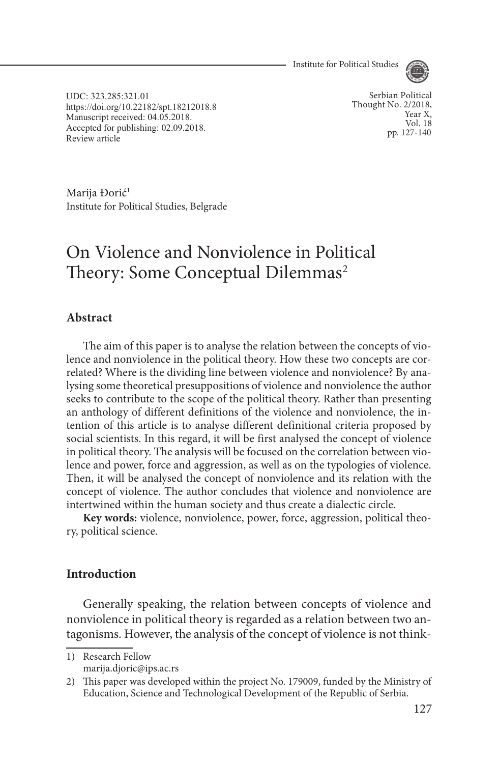Institute for Political Studies



UDC: 323.285:321.01 https://doi.org/10.22182/spt.18212018.8 Manuscript received: 04.05.2018. Accepted for publishing: 02.09.2018.<br>Review article Accepted for publishing, 02.09.2016.<br>Review article pp. 127-140

Serbian Political Thought No. 2/2018, Year X, Vol. 18<br>pp. 127-140

Marija Đorić<sup>1</sup> Institute for Political Studies, Belgrade

# On Violence and Nonviolence in Political Theory: Some Conceptual Dilemmas<sup>2</sup>

### **Abstract**

The aim of this paper is to analyse the relation between the concepts of violence and nonviolence in the political theory. How these two concepts are correlated? Where is the dividing line between violence and nonviolence? By analysing some theoretical presuppositions of violence and nonviolence the author seeks to contribute to the scope of the political theory. Rather than presenting an anthology of different definitions of the violence and nonviolence, the intention of this article is to analyse different definitional criteria proposed by social scientists. In this regard, it will be first analysed the concept of violence in political theory. The analysis will be focused on the correlation between violence and power, force and aggression, as well as on the typologies of violence. Then, it will be analysed the concept of nonviolence and its relation with the concept of violence. The author concludes that violence and nonviolence are intertwined within the human society and thus create a dialectic circle.

**Key words:** violence, nonviolence, power, force, aggression, political theory, political science.

### **Introduction**

Generally speaking, the relation between concepts of violence and nonviolence in political theory is regarded as a relation between two antagonisms. However, the analysis of the concept of violence is not think-

1) Research Fellow marija.djoric@ips.ac.rs

<sup>2)</sup> This paper was developed within the project No. 179009, funded by the Ministry of Education, Science and Technological Development of the Republic of Serbia.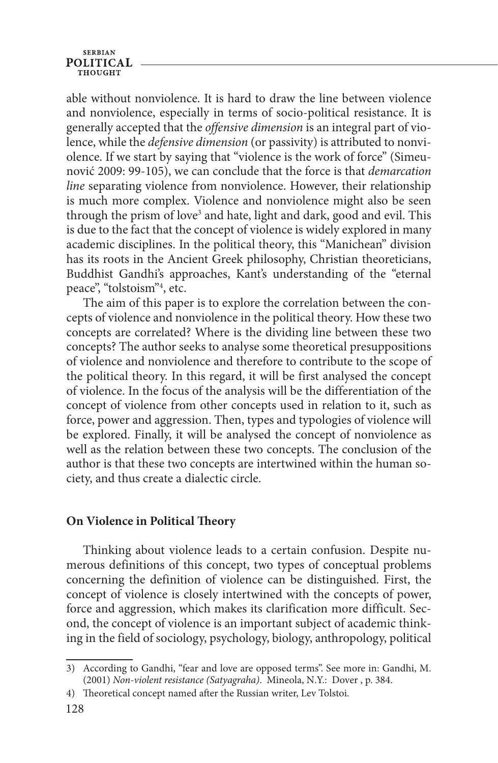#### **SERBIAN POLITICAL THOUCHT**

able without nonviolence. It is hard to draw the line between violence and nonviolence, especially in terms of socio-political resistance. It is generally accepted that the *offensive dimension* is an integral part of violence, while the *defensive dimension* (or passivity) is attributed to nonviolence. If we start by saying that "violence is the work of force" (Simeunović 2009: 99-105), we can conclude that the force is that *demarcation line* separating violence from nonviolence. However, their relationship is much more complex. Violence and nonviolence might also be seen through the prism of love<sup>3</sup> and hate, light and dark, good and evil. This is due to the fact that the concept of violence is widely explored in many academic disciplines. In the political theory, this "Manichean" division has its roots in the Ancient Greek philosophy, Christian theoreticians, Buddhist Gandhi's approaches, Kant's understanding of the "eternal peace", "tolstoism"4 , etc.

The aim of this paper is to explore the correlation between the concepts of violence and nonviolence in the political theory. How these two concepts are correlated? Where is the dividing line between these two concepts? The author seeks to analyse some theoretical presuppositions of violence and nonviolence and therefore to contribute to the scope of the political theory. In this regard, it will be first analysed the concept of violence. In the focus of the analysis will be the differentiation of the concept of violence from other concepts used in relation to it, such as force, power and aggression. Then, types and typologies of violence will be explored. Finally, it will be analysed the concept of nonviolence as well as the relation between these two concepts. The conclusion of the author is that these two concepts are intertwined within the human society, and thus create a dialectic circle.

### **On Violence in Political Theory**

Thinking about violence leads to a certain confusion. Despite numerous definitions of this concept, two types of conceptual problems concerning the definition of violence can be distinguished. First, the concept of violence is closely intertwined with the concepts of power, force and aggression, which makes its clarification more difficult. Second, the concept of violence is an important subject of academic thinking in the field of sociology, psychology, biology, anthropology, political

<sup>3)</sup> According to Gandhi, "fear and love are opposed terms". See more in: Gandhi, M. (2001) *Non-violent resistance (Satyagraha)*. Mineola, N.Y.: Dover , p. 384.

<sup>4)</sup> Theoretical concept named after the Russian writer, Lev Tolstoi.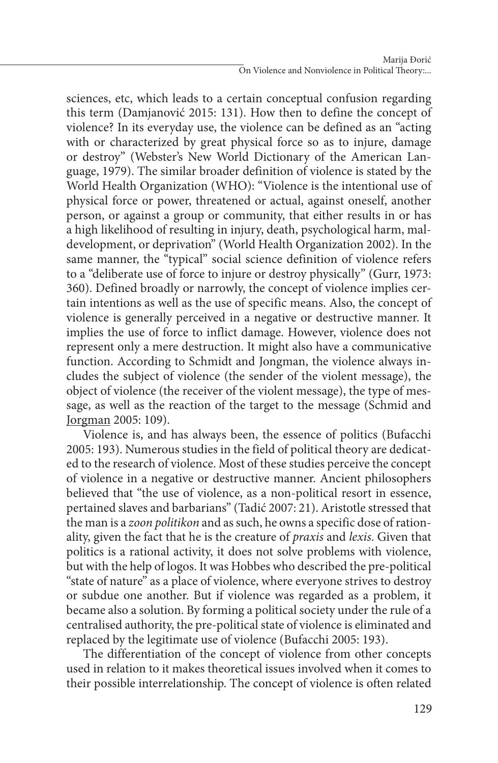sciences, etc, which leads to a certain conceptual confusion regarding this term (Damjanović 2015: 131). How then to define the concept of violence? In its everyday use, the violence can be defined as an "acting with or characterized by great physical force so as to injure, damage or destroy" (Webster's New World Dictionary of the American Language, 1979). The similar broader definition of violence is stated by the World Health Organization (WHO): "Violence is the intentional use of physical force or power, threatened or actual, against oneself, another person, or against a group or community, that either results in or has a high likelihood of resulting in injury, death, psychological harm, maldevelopment, or deprivation" (World Health Organization 2002). In the same manner, the "typical" social science definition of violence refers to a "deliberate use of force to injure or destroy physically" (Gurr, 1973: 360). Defined broadly or narrowly, the concept of violence implies certain intentions as well as the use of specific means. Also, the concept of violence is generally perceived in a negative or destructive manner. It implies the use of force to inflict damage. However, violence does not represent only a mere destruction. It might also have a communicative function. According to Schmidt and Jongman, the violence always includes the subject of violence (the sender of the violent message), the object of violence (the receiver of the violent message), the type of message, as well as the reaction of the target to the message (Schmid and Jorgman 2005: 109).

Violence is, and has always been, the essence of politics (Bufacchi 2005: 193). Numerous studies in the field of political theory are dedicated to the research of violence. Most of these studies perceive the concept of violence in a negative or destructive manner. Ancient philosophers believed that "the use of violence, as a non-political resort in essence, pertained slaves and barbarians" (Tadić 2007: 21). Aristotle stressed that the man is a *zoon politikon* and as such, he owns a specific dose of rationality, given the fact that he is the creature of *praxis* and *lexis*. Given that politics is a rational activity, it does not solve problems with violence, but with the help of logos. It was Hobbes who described the pre-political "state of nature" as a place of violence, where everyone strives to destroy or subdue one another. But if violence was regarded as a problem, it became also a solution. By forming a political society under the rule of a centralised authority, the pre-political state of violence is eliminated and replaced by the legitimate use of violence (Bufacchi 2005: 193).

The differentiation of the concept of violence from other concepts used in relation to it makes theoretical issues involved when it comes to their possible interrelationship. The concept of violence is often related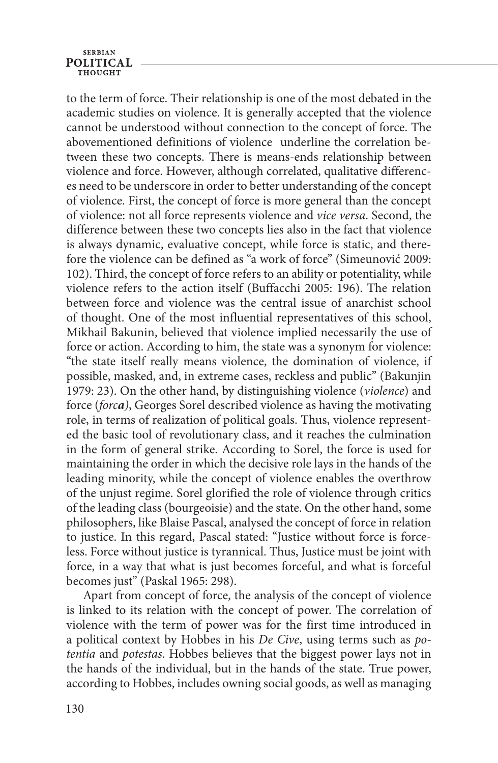# **SERBIAN POLITICAL**

to the term of force. Their relationship is one of the most debated in the academic studies on violence. It is generally accepted that the violence cannot be understood without connection to the concept of force. The abovementioned definitions of violence underline the correlation between these two concepts. There is means-ends relationship between violence and force. However, although correlated, qualitative differences need to be underscore in order to better understanding of the concept of violence. First, the concept of force is more general than the concept of violence: not all force represents violence and *vice versa*. Second, the difference between these two concepts lies also in the fact that violence is always dynamic, evaluative concept, while force is static, and therefore the violence can be defined as "a work of force" (Simeunović 2009: 102). Third, the concept of force refers to an ability or potentiality, while violence refers to the action itself (Buffacchi 2005: 196). The relation between force and violence was the central issue of anarchist school of thought. One of the most influential representatives of this school, Mikhail Bakunin, believed that violence implied necessarily the use of force or action. According to him, the state was a synonym for violence: "the state itself really means violence, the domination of violence, if possible, masked, and, in extreme cases, reckless and public" (Bakunjin 1979: 23). On the other hand, by distinguishing violence (*violence*) and force (*forca)*, Georges Sorel described violence as having the motivating role, in terms of realization of political goals. Thus, violence represented the basic tool of revolutionary class, and it reaches the culmination in the form of general strike. According to Sorel, the force is used for maintaining the order in which the decisive role lays in the hands of the leading minority, while the concept of violence enables the overthrow of the unjust regime. Sorel glorified the role of violence through critics of the leading class (bourgeoisie) and the state. On the other hand, some philosophers, like Blaise Pascal, analysed the concept of force in relation to justice. In this regard, Pascal stated: "Justice without force is forceless. Force without justice is tyrannical. Thus, Justice must be joint with force, in a way that what is just becomes forceful, and what is forceful becomes just" (Paskal 1965: 298).

Apart from concept of force, the analysis of the concept of violence is linked to its relation with the concept of power. The correlation of violence with the term of power was for the first time introduced in a political context by Hobbes in his *De Cive*, using terms such as *potentia* and *potestas*. Hobbes believes that the biggest power lays not in the hands of the individual, but in the hands of the state. True power, according to Hobbes, includes owning social goods, as well as managing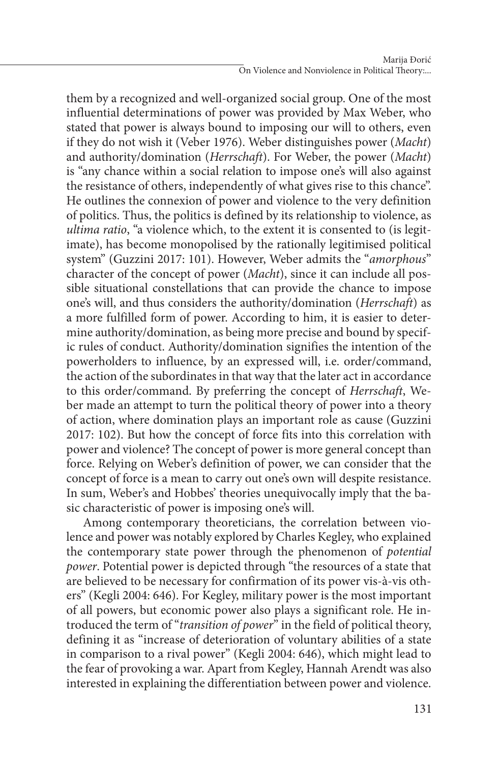them by a recognized and well-organized social group. One of the most influential determinations of power was provided by Max Weber, who stated that power is always bound to imposing our will to others, even if they do not wish it (Veber 1976). Weber distinguishes power (*Macht*) and authority/domination (*Herrschaft*). For Weber, the power (*Macht*) is "any chance within a social relation to impose one's will also against the resistance of others, independently of what gives rise to this chance". He outlines the connexion of power and violence to the very definition of politics. Thus, the politics is defined by its relationship to violence, as *ultima ratio*, "a violence which, to the extent it is consented to (is legitimate), has become monopolised by the rationally legitimised political system" (Guzzini 2017: 101). However, Weber admits the "*amorphous*" character of the concept of power (*Macht*), since it can include all possible situational constellations that can provide the chance to impose one's will, and thus considers the authority/domination (*Herrschaft*) as a more fulfilled form of power. According to him, it is easier to determine authority/domination, as being more precise and bound by specific rules of conduct. Authority/domination signifies the intention of the powerholders to influence, by an expressed will, i.e. order/command, the action of the subordinates in that way that the later act in accordance to this order/command. By preferring the concept of *Herrschaft*, Weber made an attempt to turn the political theory of power into a theory of action, where domination plays an important role as cause (Guzzini 2017: 102). But how the concept of force fits into this correlation with power and violence? The concept of power is more general concept than force. Relying on Weber's definition of power, we can consider that the concept of force is a mean to carry out one's own will despite resistance. In sum, Weber's and Hobbes' theories unequivocally imply that the basic characteristic of power is imposing one's will.

Among contemporary theoreticians, the correlation between violence and power was notably explored by Charles Kegley, who explained the contemporary state power through the phenomenon of *potential power*. Potential power is depicted through "the resources of a state that are believed to be necessary for confirmation of its power vis-à-vis others" (Kegli 2004: 646). For Kegley, military power is the most important of all powers, but economic power also plays a significant role. He introduced the term of "*transition of power*" in the field of political theory, defining it as "increase of deterioration of voluntary abilities of a state in comparison to a rival power" (Kegli 2004: 646), which might lead to the fear of provoking a war. Apart from Kegley, Hannah Arendt was also interested in explaining the differentiation between power and violence.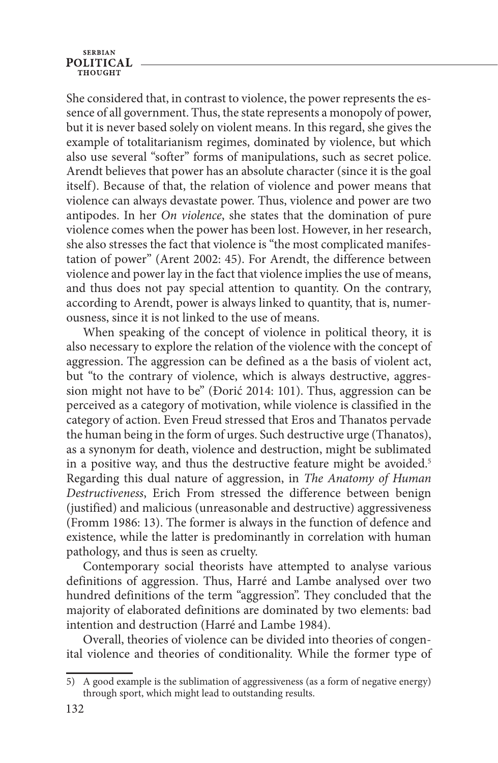#### **SERBIAN POLITICAL** тнопент

She considered that, in contrast to violence, the power represents the essence of all government. Thus, the state represents a monopoly of power, but it is never based solely on violent means. In this regard, she gives the example of totalitarianism regimes, dominated by violence, but which also use several "softer" forms of manipulations, such as secret police. Arendt believes that power has an absolute character (since it is the goal itself). Because of that, the relation of violence and power means that violence can always devastate power. Thus, violence and power are two antipodes. In her *On violence*, she states that the domination of pure violence comes when the power has been lost. However, in her research, she also stresses the fact that violence is "the most complicated manifestation of power" (Arent 2002: 45). For Arendt, the difference between violence and power lay in the fact that violence implies the use of means, and thus does not pay special attention to quantity. On the contrary, according to Arendt, power is always linked to quantity, that is, numerousness, since it is not linked to the use of means.

When speaking of the concept of violence in political theory, it is also necessary to explore the relation of the violence with the concept of aggression. The aggression can be defined as a the basis of violent act, but "to the contrary of violence, which is always destructive, aggression might not have to be" (Đorić 2014: 101). Thus, aggression can be perceived as a category of motivation, while violence is classified in the category of action. Even Freud stressed that Eros and Thanatos pervade the human being in the form of urges. Such destructive urge (Thanatos), as a synonym for death, violence and destruction, might be sublimated in a positive way, and thus the destructive feature might be avoided.<sup>5</sup> Regarding this dual nature of aggression, in *The Anatomy of Human Destructiveness*, Erich From stressed the difference between benign (justified) and malicious (unreasonable and destructive) aggressiveness (Fromm 1986: 13). The former is always in the function of defence and existence, while the latter is predominantly in correlation with human pathology, and thus is seen as cruelty.

Contemporary social theorists have attempted to analyse various definitions of aggression. Thus, Harré and Lambe analysed over two hundred definitions of the term "aggression". They concluded that the majority of elaborated definitions are dominated by two elements: bad intention and destruction (Harré and Lambe 1984).

Overall, theories of violence can be divided into theories of congenital violence and theories of conditionality. While the former type of

<sup>5)</sup> A good example is the sublimation of aggressiveness (as a form of negative energy) through sport, which might lead to outstanding results.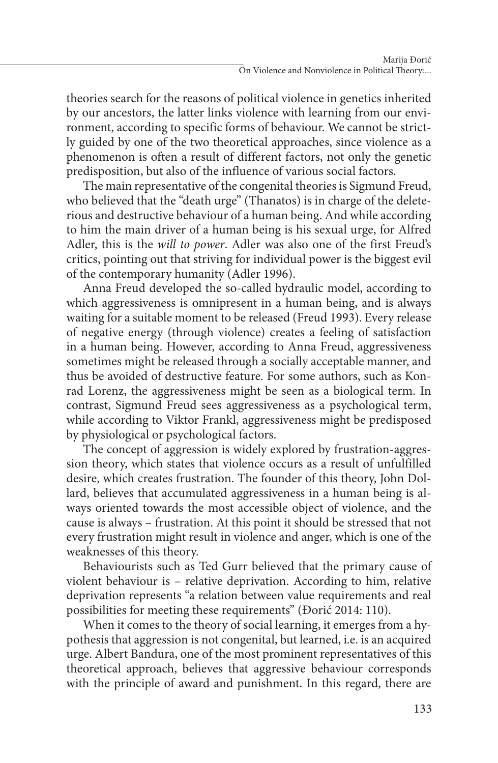theories search for the reasons of political violence in genetics inherited by our ancestors, the latter links violence with learning from our environment, according to specific forms of behaviour. We cannot be strictly guided by one of the two theoretical approaches, since violence as a phenomenon is often a result of different factors, not only the genetic predisposition, but also of the influence of various social factors.

The main representative of the congenital theories is Sigmund Freud, who believed that the "death urge" (Thanatos) is in charge of the deleterious and destructive behaviour of a human being. And while according to him the main driver of a human being is his sexual urge, for Alfred Adler, this is the *will to power*. Adler was also one of the first Freud's critics, pointing out that striving for individual power is the biggest evil of the contemporary humanity (Adler 1996).

Anna Freud developed the so-called hydraulic model, according to which aggressiveness is omnipresent in a human being, and is always waiting for a suitable moment to be released (Freud 1993). Every release of negative energy (through violence) creates a feeling of satisfaction in a human being. However, according to Anna Freud, aggressiveness sometimes might be released through a socially acceptable manner, and thus be avoided of destructive feature. For some authors, such as Konrad Lorenz, the aggressiveness might be seen as a biological term. In contrast, Sigmund Freud sees aggressiveness as a psychological term, while according to Viktor Frankl, aggressiveness might be predisposed by physiological or psychological factors.

The concept of aggression is widely explored by frustration-aggression theory, which states that violence occurs as a result of unfulfilled desire, which creates frustration. The founder of this theory, John Dollard, believes that accumulated aggressiveness in a human being is always oriented towards the most accessible object of violence, and the cause is always – frustration. At this point it should be stressed that not every frustration might result in violence and anger, which is one of the weaknesses of this theory.

Behaviourists such as Ted Gurr believed that the primary cause of violent behaviour is – relative deprivation. According to him, relative deprivation represents "a relation between value requirements and real possibilities for meeting these requirements" (Đorić 2014: 110).

When it comes to the theory of social learning, it emerges from a hypothesis that aggression is not congenital, but learned, i.e. is an acquired urge. Albert Bandura, one of the most prominent representatives of this theoretical approach, believes that aggressive behaviour corresponds with the principle of award and punishment. In this regard, there are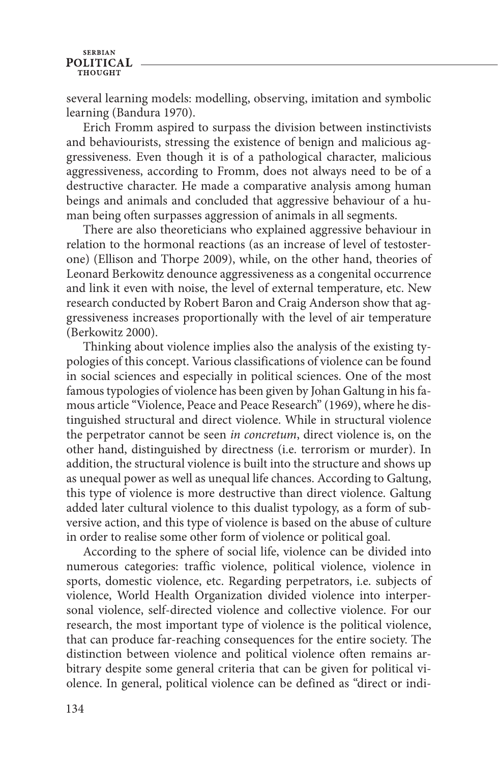#### **SERBIAN POLITICAL** THOUGHT

several learning models: modelling, observing, imitation and symbolic learning (Bandura 1970).

Erich Fromm aspired to surpass the division between instinctivists and behaviourists, stressing the existence of benign and malicious aggressiveness. Even though it is of a pathological character, malicious aggressiveness, according to Fromm, does not always need to be of a destructive character. He made a comparative analysis among human beings and animals and concluded that aggressive behaviour of a human being often surpasses aggression of animals in all segments.

There are also theoreticians who explained aggressive behaviour in relation to the hormonal reactions (as an increase of level of testosterone) (Ellison and Thorpe 2009), while, on the other hand, theories of Leonard Berkowitz denounce aggressiveness as a congenital occurrence and link it even with noise, the level of external temperature, etc. New research conducted by Robert Baron and Craig Anderson show that aggressiveness increases proportionally with the level of air temperature (Berkowitz 2000).

Thinking about violence implies also the analysis of the existing typologies of this concept. Various classifications of violence can be found in social sciences and especially in political sciences. One of the most famous typologies of violence has been given by Johan Galtung in his famous article "Violence, Peace and Peace Research" (1969), where he distinguished structural and direct violence. While in structural violence the perpetrator cannot be seen *in concretum*, direct violence is, on the other hand, distinguished by directness (i.e. terrorism or murder). In addition, the structural violence is built into the structure and shows up as unequal power as well as unequal life chances. According to Galtung, this type of violence is more destructive than direct violence. Galtung added later cultural violence to this dualist typology, as a form of subversive action, and this type of violence is based on the abuse of culture in order to realise some other form of violence or political goal.

According to the sphere of social life, violence can be divided into numerous categories: traffic violence, political violence, violence in sports, domestic violence, etc. Regarding perpetrators, i.e. subjects of violence, World Health Organization divided violence into interpersonal violence, self-directed violence and collective violence. For our research, the most important type of violence is the political violence, that can produce far-reaching consequences for the entire society. The distinction between violence and political violence often remains arbitrary despite some general criteria that can be given for political violence. In general, political violence can be defined as "direct or indi-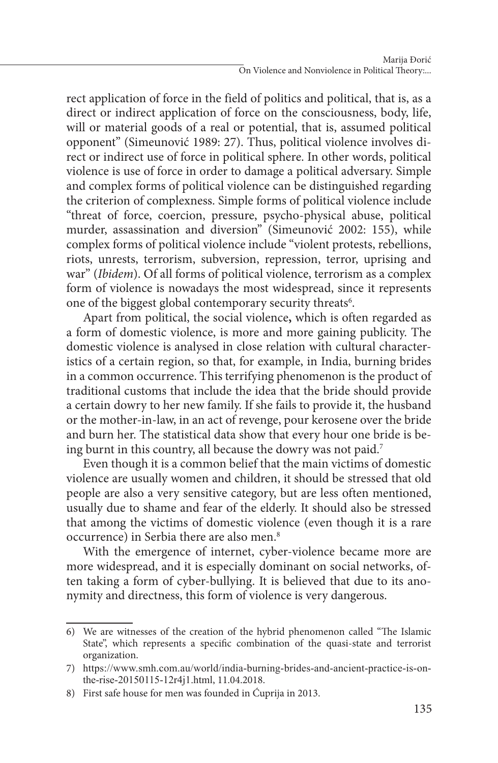rect application of force in the field of politics and political, that is, as a direct or indirect application of force on the consciousness, body, life, will or material goods of a real or potential, that is, assumed political opponent" (Simeunović 1989: 27). Thus, political violence involves direct or indirect use of force in political sphere. In other words, political violence is use of force in order to damage a political adversary. Simple and complex forms of political violence can be distinguished regarding the criterion of complexness. Simple forms of political violence include "threat of force, coercion, pressure, psycho-physical abuse, political murder, assassination and diversion" (Simeunović 2002: 155), while complex forms of political violence include "violent protests, rebellions, riots, unrests, terrorism, subversion, repression, terror, uprising and war" (*Ibidem*). Of all forms of political violence, terrorism as a complex form of violence is nowadays the most widespread, since it represents one of the biggest global contemporary security threats<sup>6</sup>.

Apart from political, the social violence**,** which is often regarded as a form of domestic violence, is more and more gaining publicity. The domestic violence is analysed in close relation with cultural characteristics of a certain region, so that, for example, in India, burning brides in a common occurrence. This terrifying phenomenon is the product of traditional customs that include the idea that the bride should provide a certain dowry to her new family. If she fails to provide it, the husband or the mother-in-law, in an act of revenge, pour kerosene over the bride and burn her. The statistical data show that every hour one bride is being burnt in this country, all because the dowry was not paid.7

Even though it is a common belief that the main victims of domestic violence are usually women and children, it should be stressed that old people are also a very sensitive category, but are less often mentioned, usually due to shame and fear of the elderly. It should also be stressed that among the victims of domestic violence (even though it is a rare occurrence) in Serbia there are also men.<sup>8</sup>

With the emergence of internet, cyber-violence became more are more widespread, and it is especially dominant on social networks, often taking a form of cyber-bullying. It is believed that due to its anonymity and directness, this form of violence is very dangerous.

<sup>6)</sup> We are witnesses of the creation of the hybrid phenomenon called "The Islamic State", which represents a specific combination of the quasi-state and terrorist organization.

<sup>7)</sup> https://www.smh.com.au/world/india-burning-brides-and-ancient-practice-is-onthe-rise-20150115-12r4j1.html, 11.04.2018.

<sup>8)</sup> First safe house for men was founded in Ćuprija in 2013.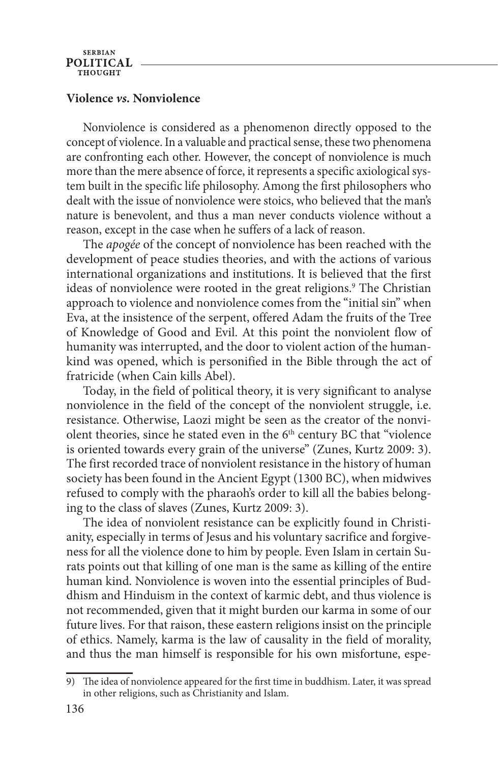### **Violence** *vs.* **Nonviolence**

Nonviolence is considered as a phenomenon directly opposed to the concept of violence. In a valuable and practical sense, these two phenomena are confronting each other. However, the concept of nonviolence is much more than the mere absence of force, it represents a specific axiological system built in the specific life philosophy. Among the first philosophers who dealt with the issue of nonviolence were stoics, who believed that the man's nature is benevolent, and thus a man never conducts violence without a reason, except in the case when he suffers of a lack of reason.

The *apogée* of the concept of nonviolence has been reached with the development of peace studies theories, and with the actions of various international organizations and institutions. It is believed that the first ideas of nonviolence were rooted in the great religions.<sup>9</sup> The Christian approach to violence and nonviolence comes from the "initial sin" when Eva, at the insistence of the serpent, offered Adam the fruits of the Tree of Knowledge of Good and Evil. At this point the nonviolent flow of humanity was interrupted, and the door to violent action of the humankind was opened, which is personified in the Bible through the act of fratricide (when Cain kills Abel).

Today, in the field of political theory, it is very significant to analyse nonviolence in the field of the concept of the nonviolent struggle, i.e. resistance. Otherwise, Laozi might be seen as the creator of the nonviolent theories, since he stated even in the 6<sup>th</sup> century BC that "violence is oriented towards every grain of the universe" (Zunes, Kurtz 2009: 3). The first recorded trace of nonviolent resistance in the history of human society has been found in the Ancient Egypt (1300 BC), when midwives refused to comply with the pharaoh's order to kill all the babies belonging to the class of slaves (Zunes, Kurtz 2009: 3).

The idea of nonviolent resistance can be explicitly found in Christianity, especially in terms of Jesus and his voluntary sacrifice and forgiveness for all the violence done to him by people. Even Islam in certain Surats points out that killing of one man is the same as killing of the entire human kind. Nonviolence is woven into the essential principles of Buddhism and Hinduism in the context of karmic debt, and thus violence is not recommended, given that it might burden our karma in some of our future lives. For that raison, these eastern religions insist on the principle of ethics. Namely, karma is the law of causality in the field of morality, and thus the man himself is responsible for his own misfortune, espe-

<sup>9)</sup> The idea of nonviolence appeared for the first time in buddhism. Later, it was spread in other religions, such as Christianity and Islam.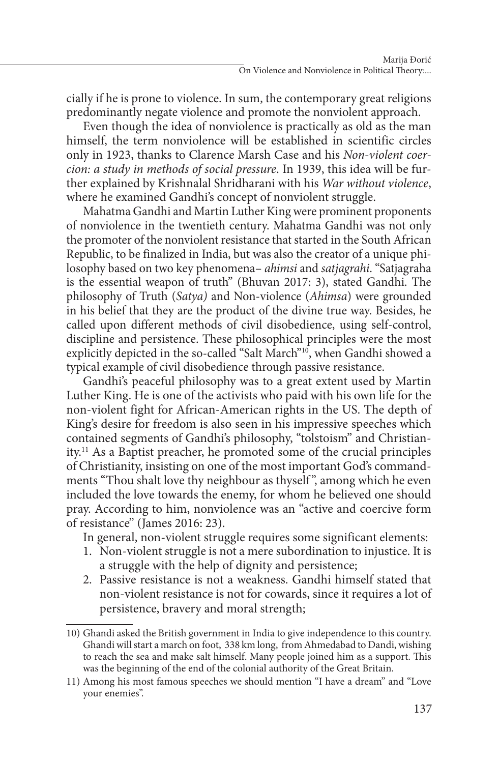cially if he is prone to violence. In sum, the contemporary great religions predominantly negate violence and promote the nonviolent approach.

Even though the idea of nonviolence is practically as old as the man himself, the term nonviolence will be established in scientific circles only in 1923, thanks to Clarence Marsh Case and his *Non-violent coercion: a study in methods of social pressure*. In 1939, this idea will be further explained by Krishnalal Shridharani with his *War without violence*, where he examined Gandhi's concept of nonviolent struggle.

Mahatma Gandhi and Martin Luther King were prominent proponents of nonviolence in the twentieth century. Mahatma Gandhi was not only the promoter of the nonviolent resistance that started in the South African Republic, to be finalized in India, but was also the creator of a unique philosophy based on two key phenomena– *ahimsi* and *satjagrahi*. "Satjagraha is the essential weapon of truth" (Bhuvan 2017: 3), stated Gandhi. The philosophy of Truth (*Satya)* and Non-violence (*Ahimsa*) were grounded in his belief that they are the product of the divine true way. Besides, he called upon different methods of civil disobedience, using self-control, discipline and persistence. These philosophical principles were the most explicitly depicted in the so-called "Salt March"<sup>10</sup>, when Gandhi showed a typical example of civil disobedience through passive resistance.

Gandhi's peaceful philosophy was to a great extent used by Martin Luther King. He is one of the activists who paid with his own life for the non-violent fight for African-American rights in the US. The depth of King's desire for freedom is also seen in his impressive speeches which contained segments of Gandhi's philosophy, "tolstoism" and Christianity.11 As a Baptist preacher, he promoted some of the crucial principles of Christianity, insisting on one of the most important God's commandments "Thou shalt love thy neighbour as thyself ", among which he even included the love towards the enemy, for whom he believed one should pray. According to him, nonviolence was an "active and coercive form of resistance" (James 2016: 23).

In general, non-violent struggle requires some significant elements:

- 1. Non-violent struggle is not a mere subordination to injustice. It is a struggle with the help of dignity and persistence;
- 2. Passive resistance is not a weakness. Gandhi himself stated that non-violent resistance is not for cowards, since it requires a lot of persistence, bravery and moral strength;

<sup>10)</sup> Ghandi asked the British government in India to give independence to this country. Ghandi will start a march on foot, 338 km long, from Ahmedabad to Dandi, wishing to reach the sea and make salt himself. Many people joined him as a support. This was the beginning of the end of the colonial authority of the Great Britain.

<sup>11)</sup> Among his most famous speeches we should mention "I have a dream" and "Love your enemies".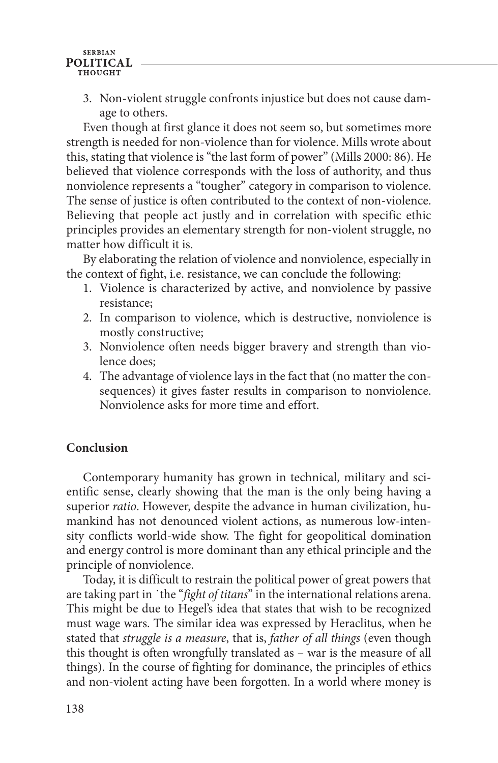#### **SERBIAN POLITICAL** тнопент

3. Non-violent struggle confronts injustice but does not cause damage to others.

Even though at first glance it does not seem so, but sometimes more strength is needed for non-violence than for violence. Mills wrote about this, stating that violence is "the last form of power" (Mills 2000: 86). He believed that violence corresponds with the loss of authority, and thus nonviolence represents a "tougher" category in comparison to violence. The sense of justice is often contributed to the context of non-violence. Believing that people act justly and in correlation with specific ethic principles provides an elementary strength for non-violent struggle, no matter how difficult it is.

By elaborating the relation of violence and nonviolence, especially in the context of fight, i.e. resistance, we can conclude the following:

- 1. Violence is characterized by active, and nonviolence by passive resistance;
- 2. In comparison to violence, which is destructive, nonviolence is mostly constructive;
- 3. Nonviolence often needs bigger bravery and strength than violence does;
- 4. The advantage of violence lays in the fact that (no matter the consequences) it gives faster results in comparison to nonviolence. Nonviolence asks for more time and effort.

# **Conclusion**

Contemporary humanity has grown in technical, military and scientific sense, clearly showing that the man is the only being having a superior *ratio*. However, despite the advance in human civilization, humankind has not denounced violent actions, as numerous low-intensity conflicts world-wide show. The fight for geopolitical domination and energy control is more dominant than any ethical principle and the principle of nonviolence.

Today, it is difficult to restrain the political power of great powers that are taking part in ˙the "*fight of titans*" in the international relations arena. This might be due to Hegel's idea that states that wish to be recognized must wage wars. The similar idea was expressed by Heraclitus, when he stated that *struggle is a measure*, that is, *father of all things* (even though this thought is often wrongfully translated as – war is the measure of all things). In the course of fighting for dominance, the principles of ethics and non-violent acting have been forgotten. In a world where money is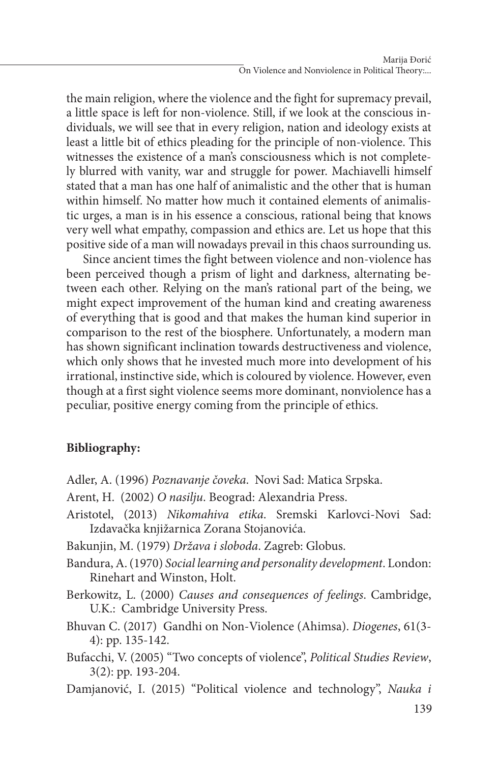the main religion, where the violence and the fight for supremacy prevail, a little space is left for non-violence. Still, if we look at the conscious individuals, we will see that in every religion, nation and ideology exists at least a little bit of ethics pleading for the principle of non-violence. This witnesses the existence of a man's consciousness which is not completely blurred with vanity, war and struggle for power. Machiavelli himself stated that a man has one half of animalistic and the other that is human within himself. No matter how much it contained elements of animalistic urges, a man is in his essence a conscious, rational being that knows very well what empathy, compassion and ethics are. Let us hope that this positive side of a man will nowadays prevail in this chaos surrounding us.

Since ancient times the fight between violence and non-violence has been perceived though a prism of light and darkness, alternating between each other. Relying on the man's rational part of the being, we might expect improvement of the human kind and creating awareness of everything that is good and that makes the human kind superior in comparison to the rest of the biosphere. Unfortunately, a modern man has shown significant inclination towards destructiveness and violence, which only shows that he invested much more into development of his irrational, instinctive side, which is coloured by violence. However, even though at a first sight violence seems more dominant, nonviolence has a peculiar, positive energy coming from the principle of ethics.

# **Bibliography:**

- Adler, A. (1996) *Poznavanje čoveka*. Novi Sad: Matica Srpska.
- Arent, H. (2002) *O nasilju*. Beograd: Alexandria Press.
- Aristotel, (2013) *Nikomahiva etika*. Sremski Karlovci-Novi Sad: Izdavačka knjižarnica Zorana Stojanovića.
- Bakunjin, M. (1979) *Država i sloboda*. Zagreb: Globus.
- Bandura, A. (1970) *Social learning and personality development*. London: Rinehart and Winston, Holt.
- Berkowitz, L. (2000) *Causes and consequences of feelings*. Cambridge, U.K.: Cambridge University Press.
- Bhuvan C. (2017) Gandhi on Non-Violence (Ahimsa). *Diogenes*, 61(3- 4): pp. 135-142.
- Bufacchi, V. (2005) "Two concepts of violence", *Political Studies Review*, 3(2): pp. 193-204.
- Damjanović, I. (2015) "Political violence and technology", *Nauka i*